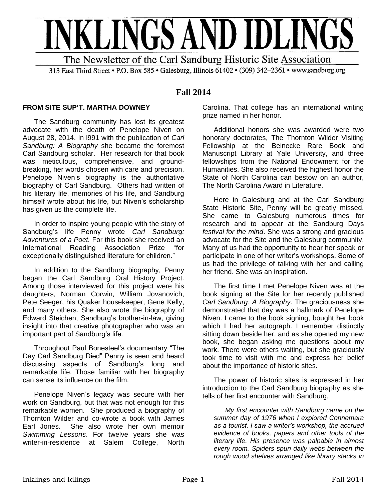

313 East Third Street • P.O. Box 585 • Galesburg, Illinois 61402 • (309) 342–2361 • www.sandburg.org

# **Fall 2014**

## **FROM SITE SUP'T. MARTHA DOWNEY**

The Sandburg community has lost its greatest advocate with the death of Penelope Niven on August 28, 2014. In l991 with the publication of *Carl Sandburg: A Biography* she became the foremost Carl Sandburg scholar. Her research for that book was meticulous, comprehensive, and groundbreaking, her words chosen with care and precision. Penelope Niven's biography is the authoritative biography of Carl Sandburg. Others had written of his literary life, memories of his life, and Sandburg himself wrote about his life, but Niven's scholarship has given us the complete life.

In order to inspire young people with the story of Sandburg's life Penny wrote *Carl Sandburg: Adventures of a Poet.* For this book she received an International Reading Association Prize "for exceptionally distinguished literature for children."

In addition to the Sandburg biography, Penny began the Carl Sandburg Oral History Project. Among those interviewed for this project were his daughters, Norman Corwin, William Jovanovich, Pete Seeger, his Quaker housekeeper, Gene Kelly, and many others. She also wrote the biography of Edward Steichen, Sandburg's brother-in-law, giving insight into that creative photographer who was an important part of Sandburg's life.

Throughout Paul Bonesteel's documentary "The Day Carl Sandburg Died" Penny is seen and heard discussing aspects of Sandburg's long and remarkable life. Those familiar with her biography can sense its influence on the film.

Penelope Niven's legacy was secure with her work on Sandburg, but that was not enough for this remarkable women. She produced a biography of Thornton Wilder and co-wrote a book with James Earl Jones. She also wrote her own memoir *Swimming Lessons*. For twelve years she was writer-in-residence at Salem College, North

Carolina. That college has an international writing prize named in her honor.

Additional honors she was awarded were two honorary doctorates, The Thornton Wilder Visiting Fellowship at the Beinecke Rare Book and Manuscript Library at Yale University, and three fellowships from the National Endowment for the Humanities. She also received the highest honor the State of North Carolina can bestow on an author, The North Carolina Award in Literature.

Here in Galesburg and at the Carl Sandburg State Historic Site, Penny will be greatly missed. She came to Galesburg numerous times for research and to appear at the Sandburg Days *festival for the mind*. She was a strong and gracious advocate for the Site and the Galesburg community. Many of us had the opportunity to hear her speak or participate in one of her writer's workshops. Some of us had the privilege of talking with her and calling her friend. She was an inspiration.

The first time I met Penelope Niven was at the book signing at the Site for her recently published *Carl Sandburg: A Biography*. The graciousness she demonstrated that day was a hallmark of Penelope Niven. I came to the book signing, bought her book which I had her autograph. I remember distinctly sitting down beside her, and as she opened my new book, she began asking me questions about my work. There were others waiting, but she graciously took time to visit with me and express her belief about the importance of historic sites.

The power of historic sites is expressed in her introduction to the Carl Sandburg biography as she tells of her first encounter with Sandburg,

*My first encounter with Sandburg came on the summer day of 1976 when I explored Connemara as a tourist. I saw a writer's workshop, the accrued evidence of books, papers and other tools of the literary life. His presence was palpable in almost every room. Spiders spun daily webs between the rough wood shelves arranged like library stacks in*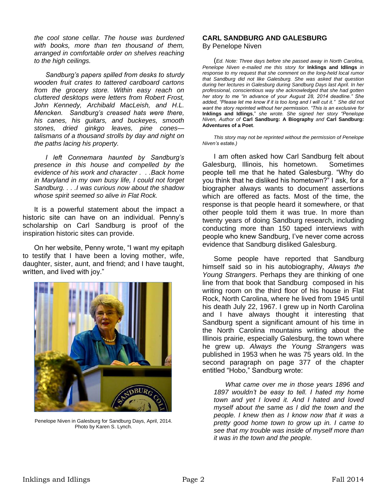*the cool stone cellar. The house was burdened with books, more than ten thousand of them, arranged in comfortable order on shelves reaching to the high ceilings.* 

*Sandburg's papers spilled from desks to sturdy wooden fruit crates to tattered cardboard cartons from the grocery store. Within easy reach on cluttered desktops were letters from Robert Frost, John Kennedy, Archibald MacLeish, and H.L. Mencken. Sandburg's creased hats were there, his canes, his guitars, and buckeyes, smooth stones, dried ginkgo leaves, pine cones talismans of a thousand strolls by day and night on the paths lacing his property.*

*I left Connemara haunted by Sandburg's presence in this house and compelled by the evidence of his work and character . . .Back home in Maryland in my own busy life, I could not forget Sandburg. . . .I was curious now about the shadow whose spirit seemed so alive in Flat Rock.*

It is a powerful statement about the impact a historic site can have on an individual. Penny's scholarship on Carl Sandburg is proof of the inspiration historic sites can provide.

On her website, Penny wrote, "I want my epitaph to testify that I have been a loving mother, wife, daughter, sister, aunt, and friend; and I have taught, written, and lived with joy."



Penelope Niven in Galesburg for Sandburg Days, April, 2014. Photo by Karen S. Lynch.

#### **CARL SANDBURG AND GALESBURG**  By Penelope Niven

(*Ed. Note: Three days before she passed away in North Carolina, Penelope Niven e-mailed me this story for* **Inklings and Idlings** *in response to my request that she comment on the long-held local rumor that Sandburg did not like Galesburg. She was asked that question during her lectures in Galesburg during Sandburg Days last April. In her professional, conscientious way she acknowledged that she had gotten her story to me "in advance of your August 28, 2014 deadline." She added, "Please let me know if it is too long and I will cut it." She did not want the story reprinted without her permission. "This is an exclusive for*  **Inklings and Idlings**," *she wrote. She signed her story "Penelope Niven, Author of* **Carl Sandburg: A Biography** *and* **Carl Sandburg: Adventures of a Poet**.

*This story may not be reprinted without the permission of Penelope Niven's estate.)*

I am often asked how Carl Sandburg felt about Galesburg, Illinois, his hometown. Sometimes people tell me that he hated Galesburg. "Why do you think that he disliked his hometown?" I ask, for a biographer always wants to document assertions which are offered as facts. Most of the time, the response is that people heard it somewhere, or that other people told them it was true. In more than twenty years of doing Sandburg research, including conducting more than 150 taped interviews with people who knew Sandburg, I've never come across evidence that Sandburg disliked Galesburg.

Some people have reported that Sandburg himself said so in his autobiography, *Always the Young Strangers*. Perhaps they are thinking of one line from that book that Sandburg composed in his writing room on the third floor of his house in Flat Rock, North Carolina, where he lived from 1945 until his death July 22, 1967. I grew up in North Carolina and I have always thought it interesting that Sandburg spent a significant amount of his time in the North Carolina mountains writing about the Illinois prairie, especially Galesburg, the town where he grew up. *Always the Young Strangers* was published in 1953 when he was 75 years old. In the second paragraph on page 377 of the chapter entitled "Hobo," Sandburg wrote:

*What came over me in those years 1896 and 1897 wouldn't be easy to tell. I hated my home town and yet I loved it. And I hated and loved myself about the same as I did the town and the people. I knew then as I know now that it was a pretty good home town to grow up in. I came to see that my trouble was inside of myself more than it was in the town and the people.*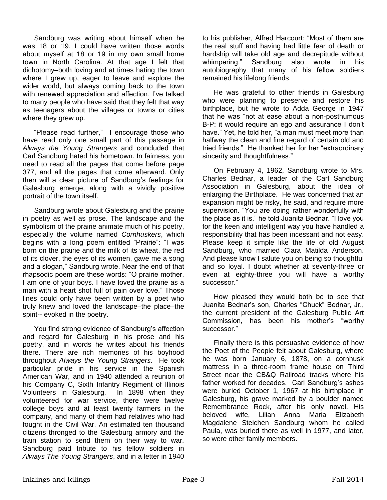Sandburg was writing about himself when he was 18 or 19. I could have written those words about myself at 18 or 19 in my own small home town in North Carolina. At that age I felt that dichotomy–both loving and at times hating the town where I grew up, eager to leave and explore the wider world, but always coming back to the town with renewed appreciation and affection. I've talked to many people who have said that they felt that way as teenagers about the villages or towns or cities where they grew up.

"Please read further," I encourage those who have read only one small part of this passage in *Always the Young Strangers* and concluded that Carl Sandburg hated his hometown. In fairness, you need to read all the pages that come before page 377, and all the pages that come afterward. Only then will a clear picture of Sandburg's feelings for Galesburg emerge, along with a vividly positive portrait of the town itself.

Sandburg wrote about Galesburg and the prairie in poetry as well as prose. The landscape and the symbolism of the prairie animate much of his poetry, especially the volume named *Cornhuskers*, which begins with a long poem entitled "Prairie": "I was born on the prairie and the milk of its wheat, the red of its clover, the eyes of its women, gave me a song and a slogan," Sandburg wrote. Near the end of that rhapsodic poem are these words: "O prairie mother, I am one of your boys. I have loved the prairie as a man with a heart shot full of pain over love." Those lines could only have been written by a poet who truly knew and loved the landscape–the place–the spirit-- evoked in the poetry.

You find strong evidence of Sandburg's affection and regard for Galesburg in his prose and his poetry, and in words he writes about his friends there. There are rich memories of his boyhood throughout *Always the Young Strangers*. He took particular pride in his service in the Spanish American War, and in 1940 attended a reunion of his Company C, Sixth Infantry Regiment of Illinois Volunteers in Galesburg. In 1898 when they volunteered for war service, there were twelve college boys and at least twenty farmers in the company, and many of them had relatives who had fought in the Civil War. An estimated ten thousand citizens thronged to the Galesburg armory and the train station to send them on their way to war. Sandburg paid tribute to his fellow soldiers in *Always The Young Strangers*, and in a letter in 1940 to his publisher, Alfred Harcourt: "Most of them are the real stuff and having had little fear of death or hardship will take old age and decrepitude without whimpering." Sandburg also wrote in his autobiography that many of his fellow soldiers remained his lifelong friends.

He was grateful to other friends in Galesburg who were planning to preserve and restore his birthplace, but he wrote to Adda George in 1947 that he was "not at ease about a non-posthumous B-P: it would require an ego and assurance I don't have." Yet, he told her, "a man must meet more than halfway the clean and fine regard of certain old and tried friends." He thanked her for her "extraordinary sincerity and thoughtfulness."

On February 4, 1962, Sandburg wrote to Mrs. Charles Bednar, a leader of the Carl Sandburg Association in Galesburg, about the idea of enlarging the Birthplace. He was concerned that an expansion might be risky, he said, and require more supervision. "You are doing rather wonderfully with the place as it is," he told Juanita Bednar. "I love you for the keen and intelligent way you have handled a responsibility that has been incessant and not easy. Please keep it simple like the life of old August Sandburg, who married Clara Matilda Anderson. And please know I salute you on being so thoughtful and so loyal. I doubt whether at seventy-three or even at eighty-three you will have a worthy successor."

How pleased they would both be to see that Juanita Bednar's son, Charles "Chuck" Bednar, Jr., the current president of the Galesburg Public Art Commission, has been his mother's "worthy successor."

Finally there is this persuasive evidence of how the Poet of the People felt about Galesburg, where he was born January 6, 1878, on a cornhusk mattress in a three-room frame house on Third Street near the CB&Q Railroad tracks where his father worked for decades. Carl Sandburg's ashes were buried October 1, 1967 at his birthplace in Galesburg, his grave marked by a boulder named Remembrance Rock, after his only novel. His beloved wife, Lilian Anna Maria Elizabeth Magdalene Steichen Sandburg whom he called Paula, was buried there as well in 1977, and later, so were other family members.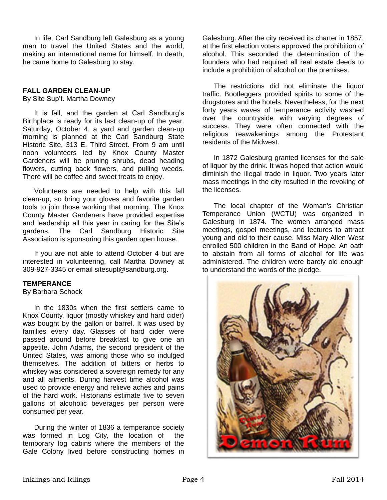In life, Carl Sandburg left Galesburg as a young man to travel the United States and the world, making an international name for himself. In death, he came home to Galesburg to stay.

#### **FALL GARDEN CLEAN-UP**

By Site Sup't. Martha Downey

It is fall, and the garden at Carl Sandburg's Birthplace is ready for its last clean-up of the year. Saturday, October 4, a yard and garden clean-up morning is planned at the Carl Sandburg State Historic Site, 313 E. Third Street. From 9 am until noon volunteers led by Knox County Master Gardeners will be pruning shrubs, dead heading flowers, cutting back flowers, and pulling weeds. There will be coffee and sweet treats to enjoy.

Volunteers are needed to help with this fall clean-up, so bring your gloves and favorite garden tools to join those working that morning. The Knox County Master Gardeners have provided expertise and leadership all this year in caring for the Site's gardens. The Carl Sandburg Historic Site Association is sponsoring this garden open house.

If you are not able to attend October 4 but are interested in volunteering, call Martha Downey at 309-927-3345 or email sitesupt@sandburg.org.

#### **TEMPERANCE**

By Barbara Schock

In the 1830s when the first settlers came to Knox County, liquor (mostly whiskey and hard cider) was bought by the gallon or barrel. It was used by families every day. Glasses of hard cider were passed around before breakfast to give one an appetite. John Adams, the second president of the United States, was among those who so indulged themselves. The addition of bitters or herbs to whiskey was considered a sovereign remedy for any and all ailments. During harvest time alcohol was used to provide energy and relieve aches and pains of the hard work. Historians estimate five to seven gallons of alcoholic beverages per person were consumed per year.

During the winter of 1836 a temperance society was formed in Log City, the location of the temporary log cabins where the members of the Gale Colony lived before constructing homes in Galesburg. After the city received its charter in 1857, at the first election voters approved the prohibition of alcohol. This seconded the determination of the founders who had required all real estate deeds to include a prohibition of alcohol on the premises.

The restrictions did not eliminate the liquor traffic. Bootleggers provided spirits to some of the drugstores and the hotels. Nevertheless, for the next forty years waves of temperance activity washed over the countryside with varying degrees of success. They were often connected with the religious reawakenings among the Protestant residents of the Midwest.

In 1872 Galesburg granted licenses for the sale of liquor by the drink. It was hoped that action would diminish the illegal trade in liquor. Two years later mass meetings in the city resulted in the revoking of the licenses.

The local chapter of the Woman's Christian Temperance Union (WCTU) was organized in Galesburg in 1874. The women arranged mass meetings, gospel meetings, and lectures to attract young and old to their cause. Miss Mary Allen West enrolled 500 children in the Band of Hope. An oath to abstain from all forms of alcohol for life was administered. The children were barely old enough to understand the words of the pledge.

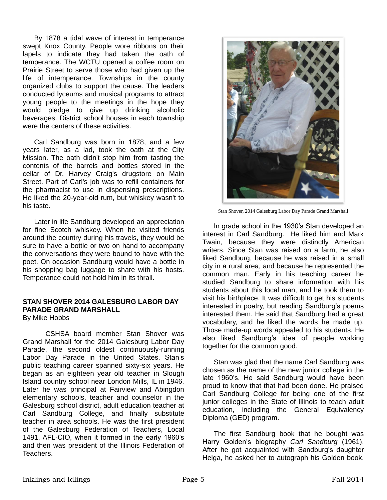By 1878 a tidal wave of interest in temperance swept Knox County. People wore ribbons on their lapels to indicate they had taken the oath of temperance. The WCTU opened a coffee room on Prairie Street to serve those who had given up the life of intemperance. Townships in the county organized clubs to support the cause. The leaders conducted lyceums and musical programs to attract young people to the meetings in the hope they would pledge to give up drinking alcoholic beverages. District school houses in each township were the centers of these activities.

Carl Sandburg was born in 1878, and a few years later, as a lad, took the oath at the City Mission. The oath didn't stop him from tasting the contents of the barrels and bottles stored in the cellar of Dr. Harvey Craig's drugstore on Main Street. Part of Carl's job was to refill containers for the pharmacist to use in dispensing prescriptions. He liked the 20-year-old rum, but whiskey wasn't to his taste.

Later in life Sandburg developed an appreciation for fine Scotch whiskey. When he visited friends around the country during his travels, they would be sure to have a bottle or two on hand to accompany the conversations they were bound to have with the poet. On occasion Sandburg would have a bottle in his shopping bag luggage to share with his hosts. Temperance could not hold him in its thrall.

## **STAN SHOVER 2014 GALESBURG LABOR DAY PARADE GRAND MARSHALL**

By Mike Hobbs

CSHSA board member Stan Shover was Grand Marshall for the 2014 Galesburg Labor Day Parade, the second oldest continuously-running Labor Day Parade in the United States. Stan's public teaching career spanned sixty-six years. He began as an eighteen year old teacher in Slough Island country school near London Mills, IL in 1946. Later he was principal at Fairview and Abingdon elementary schools, teacher and counselor in the Galesburg school district, adult education teacher at Carl Sandburg College, and finally substitute teacher in area schools. He was the first president of the Galesburg Federation of Teachers, Local 1491, AFL-CIO, when it formed in the early 1960's and then was president of the Illinois Federation of Teachers.



Stan Shover, 2014 Galesburg Labor Day Parade Grand Marshall

In grade school in the 1930's Stan developed an interest in Carl Sandburg. He liked him and Mark Twain, because they were distinctly American writers. Since Stan was raised on a farm, he also liked Sandburg, because he was raised in a small city in a rural area, and because he represented the common man. Early in his teaching career he studied Sandburg to share information with his students about this local man, and he took them to visit his birthplace. It was difficult to get his students interested in poetry, but reading Sandburg's poems interested them. He said that Sandburg had a great vocabulary, and he liked the words he made up. Those made-up words appealed to his students. He also liked Sandburg's idea of people working together for the common good.

Stan was glad that the name Carl Sandburg was chosen as the name of the new junior college in the late 1960's. He said Sandburg would have been proud to know that that had been done. He praised Carl Sandburg College for being one of the first junior colleges in the State of Illinois to teach adult education, including the General Equivalency Diploma (GED) program.

The first Sandburg book that he bought was Harry Golden's biography *Carl Sandburg* (1961). After he got acquainted with Sandburg's daughter Helga, he asked her to autograph his Golden book.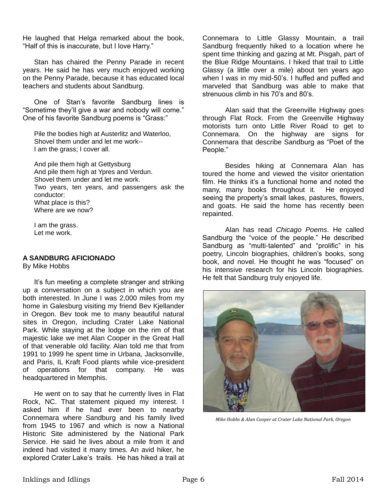He laughed that Helga remarked about the book, "Half of this is inaccurate, but I love Harry."

Stan has chaired the Penny Parade in recent years. He said he has very much enjoyed working on the Penny Parade, because it has educated local teachers and students about Sandburg.

One of Stan's favorite Sandburg lines is "Sometime they'll give a war and nobody will come." One of his favorite Sandburg poems is "Grass:"

Pile the bodies high at Austerlitz and Waterloo, Shovel them under and let me work-- I am the grass; I cover all.

And pile them high at Gettysburg And pile them high at Ypres and Verdun. Shovel them under and let me work. Two years, ten years, and passengers ask the conductor: What place is this? Where are we now?

I am the grass. Let me work.

#### **A SANDBURG AFICIONADO**

By Mike Hobbs

It's fun meeting a complete stranger and striking up a conversation on a subject in which you are both interested. In June I was 2,000 miles from my home in Galesburg visiting my friend Bev Kjellander in Oregon. Bev took me to many beautiful natural sites in Oregon, including Crater Lake National Park. While staying at the lodge on the rim of that majestic lake we met Alan Cooper in the Great Hall of that venerable old facility. Alan told me that from 1991 to 1999 he spent time in Urbana, Jacksonville, and Paris, IL Kraft Food plants while vice-president of operations for that company. He was headquartered in Memphis.

He went on to say that he currently lives in Flat Rock, NC. That statement piqued my interest. I asked him if he had ever been to nearby Connemara where Sandburg and his family lived from 1945 to 1967 and which is now a National Historic Site administered by the National Park Service. He said he lives about a mile from it and indeed had visited it many times. An avid hiker, he explored Crater Lake's trails. He has hiked a trail at Connemara to Little Glassy Mountain, a trail Sandburg frequently hiked to a location where he spent time thinking and gazing at Mt. Pisgah, part of the Blue Ridge Mountains. I hiked that trail to Little Glassy (a little over a mile) about ten years ago when I was in my mid-50's. I huffed and puffed and marveled that Sandburg was able to make that strenuous climb in his 70's and 80's.

Alan said that the Greenville Highway goes through Flat Rock. From the Greenville Highway motorists turn onto Little River Road to get to Connemara. On the highway are signs for Connemara that describe Sandburg as "Poet of the People."

Besides hiking at Connemara Alan has toured the home and viewed the visitor orientation film. He thinks it's a functional home and noted the many, many books throughout it. He enjoyed seeing the property's small lakes, pastures, flowers, and goats. He said the home has recently been repainted.

Alan has read *Chicago Poems*. He called Sandburg the "voice of the people." He described Sandburg as "multi-talented" and "prolific" in his poetry, Lincoln biographies, children's books, song book, and novel. He thought he was "focused" on his intensive research for his Lincoln biographies. He felt that Sandburg truly enjoyed life.



*Mike Hobbs & Alan Cooper at Crater Lake National Park, Oregon*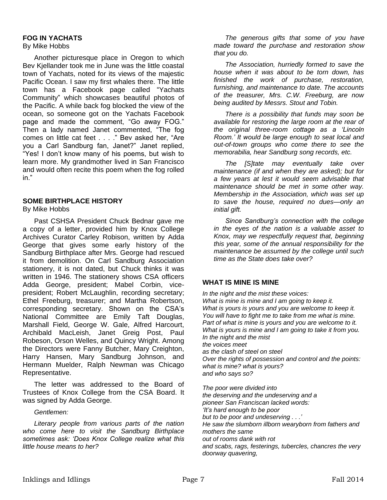#### **FOG IN YACHATS**

By Mike Hobbs

Another picturesque place in Oregon to which Bev Kjellander took me in June was the little coastal town of Yachats, noted for its views of the majestic Pacific Ocean. I saw my first whales there. The little town has a Facebook page called "Yachats Community" which showcases beautiful photos of the Pacific. A while back fog blocked the view of the ocean, so someone got on the Yachats Facebook page and made the comment, "Go away FOG." Then a lady named Janet commented, "The fog comes on little cat feet . . . ." Bev asked her, "Are you a Carl Sandburg fan, Janet?" Janet replied, "Yes! I don't know many of his poems, but wish to learn more. My grandmother lived in San Francisco and would often recite this poem when the fog rolled in."

## **SOME BIRTHPLACE HISTORY**

By Mike Hobbs

Past CSHSA President Chuck Bednar gave me a copy of a letter, provided him by Knox College Archives Curator Carley Robison, written by Adda George that gives some early history of the Sandburg Birthplace after Mrs. George had rescued it from demolition. On Carl Sandburg Association stationery, it is not dated, but Chuck thinks it was written in 1946. The stationery shows CSA officers Adda George, president; Mabel Corbin, vicepresident; Robert McLaughlin, recording secretary; Ethel Freeburg, treasurer; and Martha Robertson, corresponding secretary. Shown on the CSA's National Committee are Emily Taft Douglas, Marshall Field, George W. Gale, Alfred Harcourt, Archibald MacLeish, Janet Greig Post, Paul Robeson, Orson Welles, and Quincy Wright. Among the Directors were Fanny Butcher, Mary Creighton, Harry Hansen, Mary Sandburg Johnson, and Hermann Muelder, Ralph Newman was Chicago Representative.

The letter was addressed to the Board of Trustees of Knox College from the CSA Board. It was signed by Adda George.

*Gentlemen:*

*Literary people from various parts of the nation who come here to visit the Sandburg Birthplace sometimes ask: 'Does Knox College realize what this little house means to her?*

*The generous gifts that some of you have made toward the purchase and restoration show that you do.*

*The Association, hurriedly formed to save the house when it was about to be torn down, has finished the work of purchase, restoration, furnishing, and maintenance to date. The accounts of the treasurer, Mrs. C.W. Freeburg, are now being audited by Messrs. Stout and Tobin.*

*There is a possibility that funds may soon be available for restoring the large room at the rear of the original three-room cottage as a 'Lincoln Room.' It would be large enough to seat local and out-of-town groups who come there to see the memorabilia, hear Sandburg song records, etc.*

*The [S]tate may eventually take over maintenance (if and when they are asked); but for a few years at lest it would seem advisable that maintenance should be met in some other way. Membership in the Association, which was set up to save the house, required no dues—only an initial gift.*

*Since Sandburg's connection with the college in the eyes of the nation is a valuable asset to Knox, may we respectfully request that, beginning this year, some of the annual responsibility for the maintenance be assumed by the college until such time as the State does take over?*

## **WHAT IS MINE IS MINE**

*In the night and the mist these voices: What is mine is mine and I am going to keep it. What is yours is yours and you are welcome to keep it. You will have to fight me to take from me what is mine. Part of what is mine is yours and you are welcome to it. What is yours is mine and I am going to take it from you. In the night and the mist the voices meet as the clash of steel on steel Over the rights of possession and control and the points: what is mine? what is yours? and who says so?*

*The poor were divided into the deserving and the undeserving and a pioneer San Franciscan lacked words: 'It's hard enough to be poor but to be poor and undeserving . . .' He saw the slumborn illborn wearyborn from fathers and mothers the same out of rooms dank with rot and scabs, rags, festerings, tubercles, chancres the very doorway quavering,*